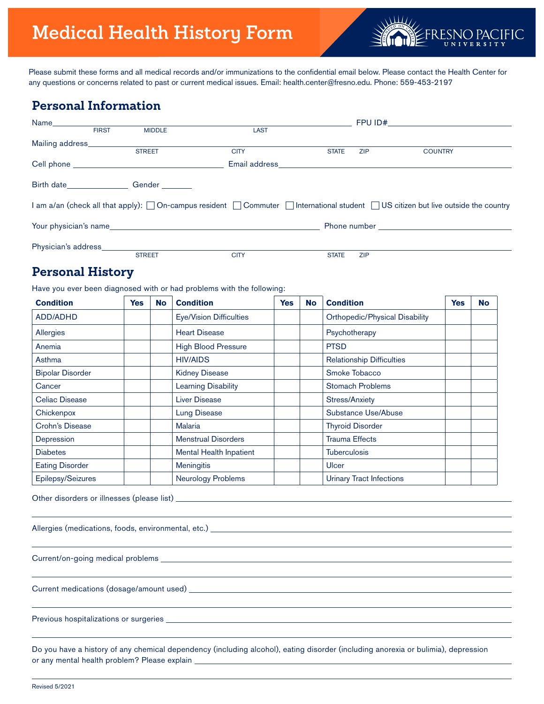

Please submit these forms and all medical records and/or immunizations to the confidential email below. Please contact the Health Center for any questions or concerns related to past or current medical issues. Email: health.center@fresno.edu. Phone: 559-453-2197

# **Personal Information**

| Name____________                  |              |                                                    |               | FPU ID#      |            |                                                                                                                             |  |  |
|-----------------------------------|--------------|----------------------------------------------------|---------------|--------------|------------|-----------------------------------------------------------------------------------------------------------------------------|--|--|
|                                   | <b>FIRST</b> | <b>MIDDLE</b>                                      | <b>LAST</b>   |              |            |                                                                                                                             |  |  |
| Mailing address____________       |              |                                                    |               |              |            |                                                                                                                             |  |  |
|                                   |              | <b>STREET</b>                                      | <b>CITY</b>   | <b>STATE</b> | <b>ZIP</b> | <b>COUNTRY</b>                                                                                                              |  |  |
|                                   |              |                                                    | Email address |              |            |                                                                                                                             |  |  |
|                                   |              | Birth date________________________Gender _________ |               |              |            |                                                                                                                             |  |  |
|                                   |              |                                                    |               |              |            | I am a/an (check all that apply): On-campus resident Commuter International student US citizen but live outside the country |  |  |
|                                   |              |                                                    |               |              |            |                                                                                                                             |  |  |
| Physician's address______________ |              |                                                    |               |              |            |                                                                                                                             |  |  |
|                                   |              | <b>STREET</b>                                      | <b>CITY</b>   | <b>STATE</b> | <b>ZIP</b> |                                                                                                                             |  |  |

# **Personal History**

Have you ever been diagnosed with or had problems with the following:

| <b>Condition</b>        | <b>Yes</b> | <b>No</b> | <b>Condition</b>               | <b>Yes</b> | <b>No</b> | <b>Condition</b>                      | <b>Yes</b> | <b>No</b> |
|-------------------------|------------|-----------|--------------------------------|------------|-----------|---------------------------------------|------------|-----------|
| <b>ADD/ADHD</b>         |            |           | <b>Eye/Vision Difficulties</b> |            |           | <b>Orthopedic/Physical Disability</b> |            |           |
| Allergies               |            |           | <b>Heart Disease</b>           |            |           | Psychotherapy                         |            |           |
| Anemia                  |            |           | <b>High Blood Pressure</b>     |            |           | <b>PTSD</b>                           |            |           |
| Asthma                  |            |           | <b>HIV/AIDS</b>                |            |           | <b>Relationship Difficulties</b>      |            |           |
| <b>Bipolar Disorder</b> |            |           | <b>Kidney Disease</b>          |            |           | Smoke Tobacco                         |            |           |
| Cancer                  |            |           | <b>Learning Disability</b>     |            |           | <b>Stomach Problems</b>               |            |           |
| Celiac Disease          |            |           | <b>Liver Disease</b>           |            |           | <b>Stress/Anxiety</b>                 |            |           |
| Chickenpox              |            |           | <b>Lung Disease</b>            |            |           | Substance Use/Abuse                   |            |           |
| Crohn's Disease         |            |           | <b>Malaria</b>                 |            |           | <b>Thyroid Disorder</b>               |            |           |
| Depression              |            |           | <b>Menstrual Disorders</b>     |            |           | <b>Trauma Effects</b>                 |            |           |
| <b>Diabetes</b>         |            |           | <b>Mental Health Inpatient</b> |            |           | <b>Tuberculosis</b>                   |            |           |
| <b>Eating Disorder</b>  |            |           | <b>Meningitis</b>              |            |           | Ulcer                                 |            |           |
| Epilepsy/Seizures       |            |           | Neurology Problems             |            |           | <b>Urinary Tract Infections</b>       |            |           |

Other disorders or illnesses (please list)

Allergies (medications, foods, environmental, etc.) \_\_\_\_\_\_\_\_\_\_\_\_\_\_\_\_\_\_\_\_\_\_\_\_\_\_\_\_

Current/on-going medical problems

Current medications (dosage/amount used)

Previous hospitalizations or surgeries

Do you have a history of any chemical dependency (including alcohol), eating disorder (including anorexia or bulimia), depression or any mental health problem? Please explain

 $\overline{a}$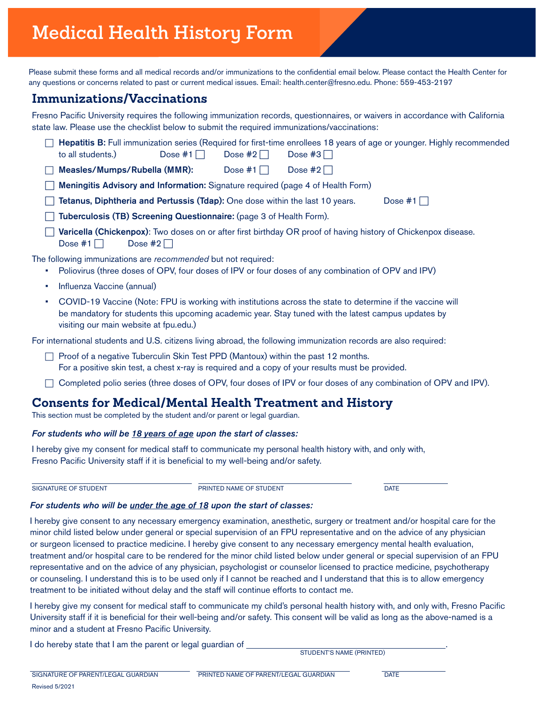# **Medical Health History Form**

Please submit these forms and all medical records and/or immunizations to the confidential email below. Please contact the Health Center for any questions or concerns related to past or current medical issues. Email: health.center@fresno.edu. Phone: 559-453-2197

## **Immunizations/Vaccinations**

Fresno Pacific University requires the following immunization records, questionnaires, or waivers in accordance with California state law. Please use the checklist below to submit the required immunizations/vaccinations:

| to all students.)                                                                                                                                                   | Dose #1 $\Box$ | Dose #2 $\Box$ | Dose #3 $\Box$ | Hepatitis B: Full immunization series (Required for first-time enrollees 18 years of age or younger. Highly recommended |  |  |  |  |
|---------------------------------------------------------------------------------------------------------------------------------------------------------------------|----------------|----------------|----------------|-------------------------------------------------------------------------------------------------------------------------|--|--|--|--|
| Measles/Mumps/Rubella (MMR):                                                                                                                                        |                | Dose $#1$      | Dose #2 $\Box$ |                                                                                                                         |  |  |  |  |
| Meningitis Advisory and Information: Signature required (page 4 of Health Form)                                                                                     |                |                |                |                                                                                                                         |  |  |  |  |
| Tetanus, Diphtheria and Pertussis (Tdap): One dose within the last 10 years.<br>Dose #1 $\Box$                                                                      |                |                |                |                                                                                                                         |  |  |  |  |
| Tuberculosis (TB) Screening Questionnaire: (page 3 of Health Form).                                                                                                 |                |                |                |                                                                                                                         |  |  |  |  |
| Varicella (Chickenpox): Two doses on or after first birthday OR proof of having history of Chickenpox disease.<br>Dose $#1$    <br>Dose $#2$                        |                |                |                |                                                                                                                         |  |  |  |  |
| The following immunizations are recommended but not required:<br>Poliovirus (three doses of OPV, four doses of IPV or four doses of any combination of OPV and IPV) |                |                |                |                                                                                                                         |  |  |  |  |

- Influenza Vaccine (annual)
- COVID-19 Vaccine (Note: FPU is working with institutions across the state to determine if the vaccine will be mandatory for students this upcoming academic year. Stay tuned with the latest campus updates by visiting our main website at fpu.edu.)

For international students and U.S. citizens living abroad, the following immunization records are also required:

- $\Box$  Proof of a negative Tuberculin Skin Test PPD (Mantoux) within the past 12 months. For a positive skin test, a chest x-ray is required and a copy of your results must be provided.
- $\Box$  Completed polio series (three doses of OPV, four doses of IPV or four doses of any combination of OPV and IPV).

## **Consents for Medical/Mental Health Treatment and History**

This section must be completed by the student and/or parent or legal guardian.

#### *For students who will be 18 years of age upon the start of classes:*

I hereby give my consent for medical staff to communicate my personal health history with, and only with, Fresno Pacific University staff if it is beneficial to my well-being and/or safety.

SIGNATURE OF STUDENT  $\overline{a}$ 

PRINTED NAME OF STUDENT

**DATE** 

#### *For students who will be under the age of 18 upon the start of classes:*

I hereby give consent to any necessary emergency examination, anesthetic, surgery or treatment and/or hospital care for the minor child listed below under general or special supervision of an FPU representative and on the advice of any physician or surgeon licensed to practice medicine. I hereby give consent to any necessary emergency mental health evaluation, treatment and/or hospital care to be rendered for the minor child listed below under general or special supervision of an FPU representative and on the advice of any physician, psychologist or counselor licensed to practice medicine, psychotherapy or counseling. I understand this is to be used only if I cannot be reached and I understand that this is to allow emergency treatment to be initiated without delay and the staff will continue efforts to contact me.

I hereby give my consent for medical staff to communicate my child's personal health history with, and only with, Fresno Pacific University staff if it is beneficial for their well-being and/or safety. This consent will be valid as long as the above-named is a minor and a student at Fresno Pacific University.

I do hereby state that I am the parent or legal guardian of

STUDENT'S NAME (PRINTED)

**DATE**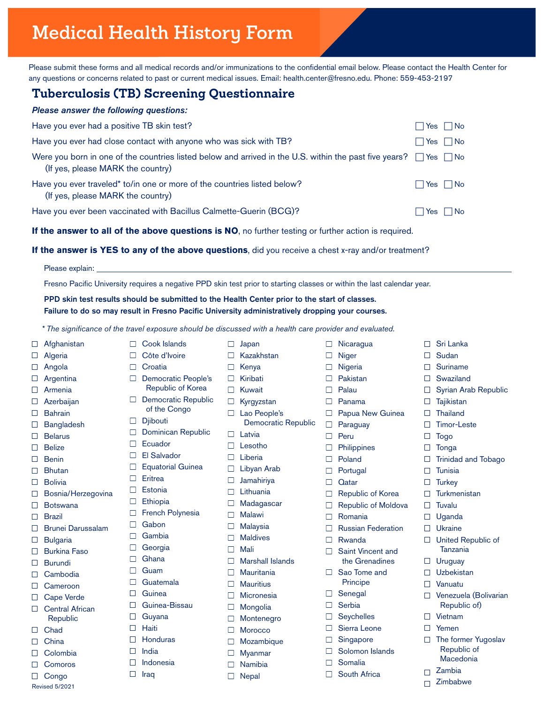# **Medical Health History Form**

Please submit these forms and all medical records and/or immunizations to the confidential email below. Please contact the Health Center for any questions or concerns related to past or current medical issues. Email: health.center@fresno.edu. Phone: 559-453-2197

# **Tuberculosis (TB) Screening Questionnaire**

□ Cook Islands Côte d'Ivoire  $\Box$  Croatia

D Djibouti

□ Ecuador El Salvador Equatorial Guinea

 $\Box$ 

 $\Box$ 

 $\Box$ 

 $\Box$ 

 $\Box$ 

 $\Box$ 

 $\Box$ 

 $\Box$ 

 $\Box$ 

 $\Box$ 

 $\Box$ 

 $\Box$ 

 $\Box$ 

Eritrea **Estonia Ethiopia** 

□ Gabon Gambia **Georgia** □ Ghana Guam □ Guatemala **Guinea** Guinea-Bissau Guyana  $\Box$  Haiti Honduras  $\Box$  India Indonesia

 $\Box$  Iraq

Democratic People's Republic of Korea Democratic Republic of the Congo

Dominican Republic

French Polynesia

| Please answer the following questions:                                                                                                                           |                      |
|------------------------------------------------------------------------------------------------------------------------------------------------------------------|----------------------|
| Have you ever had a positive TB skin test?                                                                                                                       | $\Box$ Yes $\Box$ No |
| Have you ever had close contact with anyone who was sick with TB?                                                                                                | $\Box$ Yes $\Box$ No |
| Were you born in one of the countries listed below and arrived in the U.S. within the past five years? $\Box$ Yes $\Box$ No<br>(If yes, please MARK the country) |                      |
| Have you ever traveled* to/in one or more of the countries listed below?<br>(If yes, please MARK the country)                                                    | Yes    No            |
| Have you ever been vaccinated with Bacillus Calmette-Guerin (BCG)?                                                                                               | ∣  Yes    No         |

**If the answer to all of the above questions is NO**, no further testing or further action is required.

#### **If the answer is YES to any of the above questions**, did you receive a chest x-ray and/or treatment?

Please explain:

Fresno Pacific University requires a negative PPD skin test prior to starting classes or within the last calendar year.

PPD skin test results should be submitted to the Health Center prior to the start of classes. Failure to do so may result in Fresno Pacific University administratively dropping your courses.

*\* The significance of the travel exposure should be discussed with a health care provider and evaluated.*

#### □ Afghanistan

- $\Box$ Algeria
- Angola
- Argentina
- $\Box$ Armenia
- $\Box$ Azerbaijan
- $\Box$ Bahrain
- Bangladesh  $\Box$
- $\Box$ Belarus
- $\Box$ **Belize**
- Benin  $\Box$
- Bhutan  $\Box$
- $\Box$ Bolivia
- Bosnia/Herzegovina  $\Box$
- $\Box$ Botswana
- $\Box$ Brazil
- $\Box$ Brunei Darussalam
- $\Box$ **Bulgaria**
- $\Box$ Burkina Faso
- Burundi  $\Box$
- Cambodia  $\Box$
- □ Cameroon
- Cape Verde  $\Box$
- $\Box$ Central African Republic
- □ Chad
- $\Box$  China
- $\Box$  Colombia
- $\Box$ Comoros
- □ Congo Revised 5/2021
- $\Box$  Japan  $\Box$ Kazakhstan
- $\Box$ Kenya
- $\Box$ Kiribati
- $\Box$ Kuwait
	- $\Box$ Kyrgyzstan
	- $\Box$ Lao People's
	- Democratic Republic
	- $\Box$ Latvia
	- $\Box$ Lesotho
	- $\Box$ Liberia  $\Box$
	- Libyan Arab
	- $\Box$ Jamahiriya
	- Lithuania  $\Box$
	- $\Box$ Madagascar
	- $\Box$ Malawi
	- $\Box$ Malaysia
	- $\Box$ Maldives
	- $\Box$ Mali
	- $\Box$ Marshall Islands
	- $\Box$ **Mauritania**
	- **Mauritius**  $\Box$
	- $\Box$ **Micronesia**
	- $\Box$ Mongolia
	- $\Box$ Montenegro
	- $\Box$ Morocco
- $\Box$ Mozambique
- $\Box$ Myanmar
- $\Box$ Namibia
- Nepal  $\Box$
- □ Nicaragua
- $\Box$ Niger
- $\Box$ Nigeria
- $\Box$ Pakistan
- $\Box$ Palau
- $\Box$ Panama
- $\Box$ Papua New Guinea
- $\Box$ Paraguay
- $\Box$ Peru
- $\Box$ **Philippines**
- $\Box$ Poland
- $\Box$ Portugal
- $\Box$ **Q**atar
- $\Box$ Republic of Korea
- $\Box$ Republic of Moldova
- $\Box$ Romania
- Russian Federation  $\Box$
- $\Box$ Rwanda
- □ Saint Vincent and
	- the Grenadines
- $\Box$ Sao Tome and Principe
- $\Box$ Senegal
- $\Box$ **Serbia**
- $\Box$ **Seychelles**
- $\Box$ Sierra Leone
- П Singapore
- $\Box$ Solomon Islands
- Somalia П
- $\Box$ South Africa
- □ Sri Lanka
- $\Box$ Sudan

 $\Box$ 

 $\Box$ 

 $\Box$ 

 $\Box$ 

 $\Box$ 

 $\Box$ 

 $\Box$ 

 $\Box$ 

 $\Box$ 

 $\Box$ 

 $\Box$ 

 $\Box$ 

 $\Box$ 

 $\Box$ 

 $\Box$ 

 $\Box$ 

 $\Box$ 

 $\Box$ 

 $\Box$ 

 $\Box$ 

 $\Box$ 

 $\Box$ Suriname

Swaziland

**Tajikistan Thailand** Timor-Leste Togo Tonga

**Tunisia Turkey Turkmenistan** Tuvalu Uganda Ukraine

Syrian Arab Republic

Trinidad and Tobago

United Republic of Tanzania Uruguay Uzbekistan Vanuatu

> Venezuela (Bolivarian Republic of)

□ The former Yugoslav Republic of Macedonia Zambia Zimbabwe

Vietnam Yemen